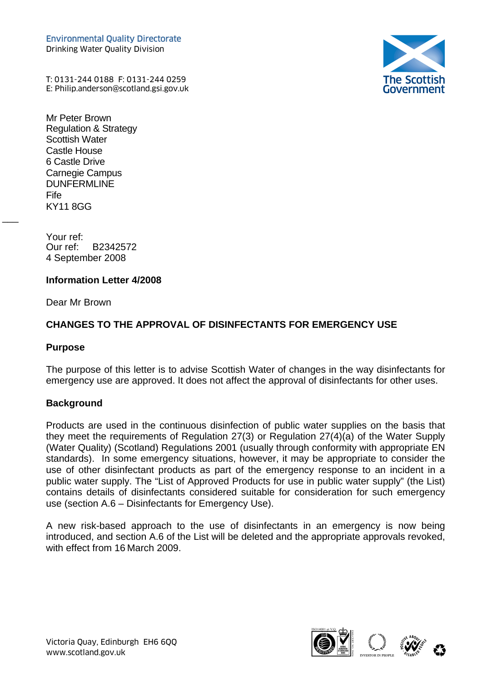Environmental Quality Directorate Drinking Water Quality Division



T: 0131-244 0188 F: 0131-244 0259 Environmental Quality Directorate<br>Drinking Water Quality Division<br>T: 0131-244 0188 F: 0131-244 0259<br>E: Philip.anderson@scotland.gsi.gov.uk (

Mr Peter Brown Regulation & Strategy Scottish Water Castle House 6 Castle Drive Carnegie Campus DUNFERMLINE Fife KY11 8GG

Your ref: Our ref: B2342572 4 September 2008

### **Information Letter 4/2008**

Dear Mr Brown

## **CHANGES TO THE APPROVAL OF DISINFECTANTS FOR EMERGENCY USE**

#### **Purpose**

 $\overline{\phantom{a}}$ 

The purpose of this letter is to advise Scottish Water of changes in the way disinfectants for emergency use are approved. It does not affect the approval of disinfectants for other uses.

#### **Background**

Products are used in the continuous disinfection of public water supplies on the basis that they meet the requirements of Regulation 27(3) or Regulation 27(4)(a) of the Water Supply (Water Quality) (Scotland) Regulations 2001 (usually through conformity with appropriate EN standards). In some emergency situations, however, it may be appropriate to consider the use of other disinfectant products as part of the emergency response to an incident in a public water supply. The "List of Approved Products for use in public water supply" (the List) contains details of disinfectants considered suitable for consideration for such emergency use (section A.6 – Disinfectants for Emergency Use).

A new risk-based approach to the use of disinfectants in an emergency is now being introduced, and section A.6 of the List will be deleted and the appropriate approvals revoked, with effect from 16 March 2009.

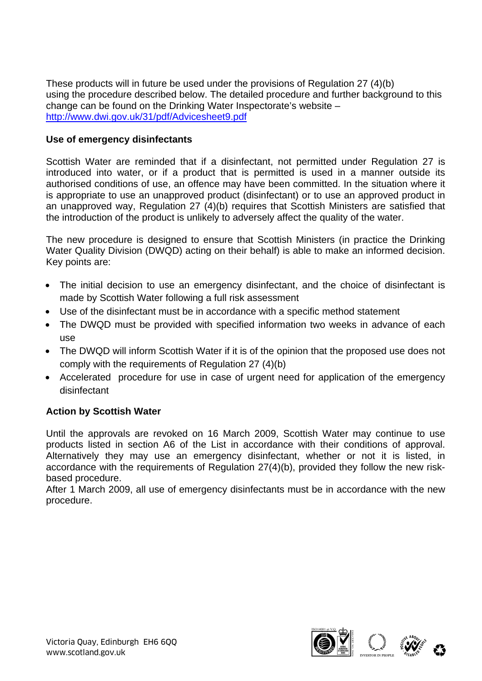These products will in future be used under the provisions of Regulation 27 (4)(b) using the procedure described below. The detailed procedure and further background to this change can be found on the Drinking Water Inspectorate's website – <http://www.dwi.gov.uk/31/pdf/Advicesheet9.pdf>

## **Use of emergency disinfectants**

Scottish Water are reminded that if a disinfectant, not permitted under Regulation 27 is introduced into water, or if a product that is permitted is used in a manner outside its authorised conditions of use, an offence may have been committed. In the situation where it is appropriate to use an unapproved product (disinfectant) or to use an approved product in an unapproved way, Regulation 27 (4)(b) requires that Scottish Ministers are satisfied that the introduction of the product is unlikely to adversely affect the quality of the water.

The new procedure is designed to ensure that Scottish Ministers (in practice the Drinking Water Quality Division (DWQD) acting on their behalf) is able to make an informed decision. Key points are:

- The initial decision to use an emergency disinfectant, and the choice of disinfectant is made by Scottish Water following a full risk assessment
- Use of the disinfectant must be in accordance with a specific method statement
- The DWQD must be provided with specified information two weeks in advance of each use
- The DWQD will inform Scottish Water if it is of the opinion that the proposed use does not comply with the requirements of Regulation 27 (4)(b)
- Accelerated procedure for use in case of urgent need for application of the emergency disinfectant

## **Action by Scottish Water**

Until the approvals are revoked on 16 March 2009, Scottish Water may continue to use products listed in section A6 of the List in accordance with their conditions of approval. Alternatively they may use an emergency disinfectant, whether or not it is listed, in accordance with the requirements of Regulation 27(4)(b), provided they follow the new riskbased procedure.

After 1 March 2009, all use of emergency disinfectants must be in accordance with the new procedure.